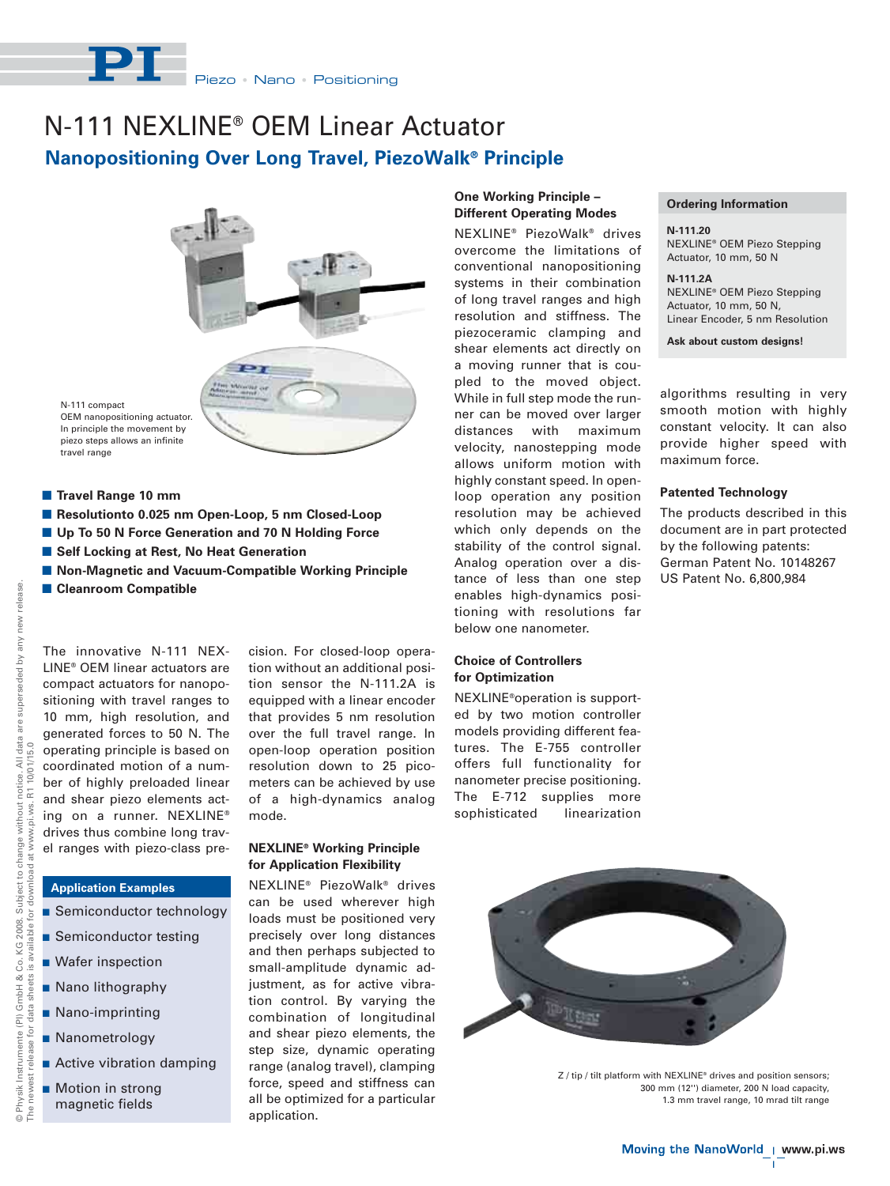

# N-111 NEXLINE® OEM Linear Actuator **Nanopositioning Over Long Travel, PiezoWalk® Principle**



N-111 compact OEM nanopositioning actuator. In principle the movement by piezo steps allows an infinite travel range

- **E** Travel Range 10 mm
- Resolutionto 0.025 nm Open-Loop, 5 nm Closed-Loop
- **Up To 50 N Force Generation and 70 N Holding Force**
- Self Locking at Rest, No Heat Generation
- **E** Non-Magnetic and Vacuum-Compatible Working Principle
- **E Cleanroom Compatible**

The innovative N-111 NEX-LINE® OEM linear actuators are compact actuators for nanopositioning with travel ranges to 10 mm, high resolution, and generated forces to 50 N. The operating principle is based on coordinated motion of a number of highly preloaded linear and shear piezo elements acting on a runner. NEXLINE® drives thus combine long travel ranges with piezo-class pre-

**Application Examples**

© Physik Instrumente (PI) GmbH & Co. KG 2008. Subject to change without notice. All data are superseded by any new release.

www.pi.ws.

 $\frac{1}{6}$ download

Subject to change without

release new

notice. All data are superseded by any I<br>R1 10/01/15.0

The newest release for data sheets is available for download at www.pi.ws. R1 10/01/15.0

sheets is available

for data

newest release

 $O H$ <br>The i

Physik Instrumente (PI) GmbH & Co. KG 2008.

for

- **Semiconductor technology**
- **B** Semiconductor testing
- **Nafer inspection**
- **Nano lithography**
- Nano-imprinting
- **Nanometrology**
- **Active vibration damping**
- Motion in strong magnetic fields

cision. For closed-loop operation without an additional position sensor the N-111.2A is equipped with a linear encoder that provides 5 nm resolution over the full travel range. In open-loop operation position resolution down to 25 picometers can be achieved by use of a high-dynamics analog mode.

# **NEXLINE® Working Principle for Application Flexibility**

NEXLINE® PiezoWalk® drives can be used wherever high loads must be positioned very precisely over long distances and then perhaps subjected to small-amplitude dynamic adjustment, as for active vibration control. By varying the combination of longitudinal and shear piezo elements, the step size, dynamic operating range (analog travel), clamping force, speed and stiffness can all be optimized for a particular application.

## **One Working Principle – Different Operating Modes**

NEXLINE® PiezoWalk® drives overcome the limitations of conventional nanopositioning systems in their combination of long travel ranges and high resolution and stiffness. The piezoceramic clamping and shear elements act directly on a moving runner that is coupled to the moved object. While in full step mode the runner can be moved over larger distances with maximum velocity, nanostepping mode allows uniform motion with highly constant speed. In openloop operation any position resolution may be achieved which only depends on the stability of the control signal. Analog operation over a distance of less than one step enables high-dynamics positioning with resolutions far below one nanometer.

# **Choice of Controllers for Optimization**

NEXLINE®operation is supported by two motion controller models providing different features. The E-755 controller offers full functionality for nanometer precise positioning. The E-712 supplies more sophisticated linearization

### **Ordering Information**

**N-111.20** NEXLINE® OEM Piezo Stepping Actuator, 10 mm, 50 N

**N-111.2A** NEXLINE® OEM Piezo Stepping Actuator, 10 mm, 50 N, Linear Encoder, 5 nm Resolution

**Ask about custom designs!**

algorithms resulting in very smooth motion with highly constant velocity. It can also provide higher speed with maximum force.

#### **Patented Technology**

The products described in this document are in part protected by the following patents: German Patent No. 10148267 US Patent No. 6,800,984



Z / tip / tilt platform with NEXLINE<sup>®</sup> drives and position sensors; 300 mm (12'') diameter, 200 N load capacity, 1.3 mm travel range, 10 mrad tilt range